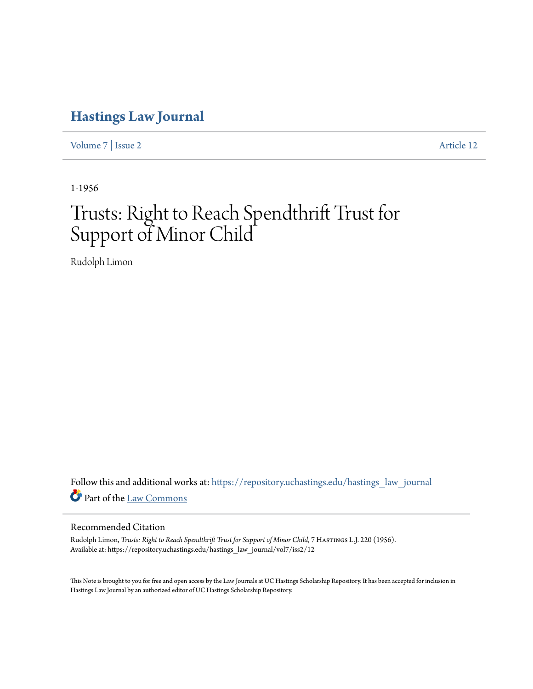## **[Hastings Law Journal](https://repository.uchastings.edu/hastings_law_journal?utm_source=repository.uchastings.edu%2Fhastings_law_journal%2Fvol7%2Fiss2%2F12&utm_medium=PDF&utm_campaign=PDFCoverPages)**

[Volume 7](https://repository.uchastings.edu/hastings_law_journal/vol7?utm_source=repository.uchastings.edu%2Fhastings_law_journal%2Fvol7%2Fiss2%2F12&utm_medium=PDF&utm_campaign=PDFCoverPages) | [Issue 2](https://repository.uchastings.edu/hastings_law_journal/vol7/iss2?utm_source=repository.uchastings.edu%2Fhastings_law_journal%2Fvol7%2Fiss2%2F12&utm_medium=PDF&utm_campaign=PDFCoverPages) [Article 12](https://repository.uchastings.edu/hastings_law_journal/vol7/iss2/12?utm_source=repository.uchastings.edu%2Fhastings_law_journal%2Fvol7%2Fiss2%2F12&utm_medium=PDF&utm_campaign=PDFCoverPages)

1-1956

## Trusts: Right to Reach Spendthrift Trust for Support of Minor Child

Rudolph Limon

Follow this and additional works at: [https://repository.uchastings.edu/hastings\\_law\\_journal](https://repository.uchastings.edu/hastings_law_journal?utm_source=repository.uchastings.edu%2Fhastings_law_journal%2Fvol7%2Fiss2%2F12&utm_medium=PDF&utm_campaign=PDFCoverPages) Part of the [Law Commons](http://network.bepress.com/hgg/discipline/578?utm_source=repository.uchastings.edu%2Fhastings_law_journal%2Fvol7%2Fiss2%2F12&utm_medium=PDF&utm_campaign=PDFCoverPages)

## Recommended Citation

Rudolph Limon, *Trusts: Right to Reach Spendthrift Trust for Support of Minor Child*, 7 Hastings L.J. 220 (1956). Available at: https://repository.uchastings.edu/hastings\_law\_journal/vol7/iss2/12

This Note is brought to you for free and open access by the Law Journals at UC Hastings Scholarship Repository. It has been accepted for inclusion in Hastings Law Journal by an authorized editor of UC Hastings Scholarship Repository.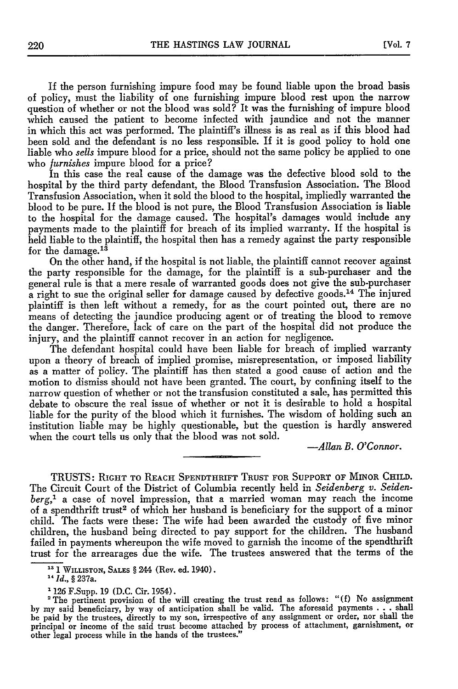If the person furnishing impure food may be found liable upon the broad basis of policy, must the liability of one furnishing impure blood rest upon the narrow question of whether or not the blood was sold? It was the furnishing of impure blood which caused the patient to become infected with jaundice and not the manner in which this act was performed. The plaintiff's illness is as real as if this blood had been sold and the defendant is no less responsible. If it is good policy to hold one liable who *sells* impure blood for a price, should not the same policy be applied to one who *furnishes* impure blood for a price?

In this case the real cause of the damage was the defective blood sold to the hospital by the third party defendant, the Blood Transfusion Association. The Blood Transfusion Association, when it sold the blood to the hospital, impliedly warranted the blood to be pure. If the blood is not pure, the Blood Transfusion Association is liable to the hospital for the damage caused. The hospital's damages would include any payments made to the plaintiff for breach of its implied warranty. If the hospital is held liable to the plaintiff, the hospital then has a remedy against the party responsible for the damage.<sup>13</sup>

On the other hand, if the hospital is not liable, the plaintiff cannot recover against the party responsible for the damage, for the plaintiff is a sub-purchaser and the general rule is that a mere resale of warranted goods does not give the sub-purchaser  $\alpha$  right to sue the original seller for damage caused by defective goods.<sup>14</sup> The injured plaintiff is then left without a remedy, for as the court pointed out, there are no means of detecting the jaundice producing agent or of treating the blood to remove the danger. Therefore, lack of care on the part of the hospital did not produce the injury, and the plaintiff cannot recover in an action for negligence.

The defendant hospital could have been liable for breach of implied warranty upon a theory of breach of implied promise, misrepresentation, or imposed liability as a matter of policy. The plaintiff has then stated a good cause of action and the motion to dismiss should not have been granted. The court, by confining itself to the narrow question of whether or not the transfusion constituted a sale, has permitted this debate to obscure the real issue of whether or not it is desirable to hold a hospital liable for the purity of the blood which it furnishes. The wisdom of holding such an institution liable may be highly questionable, but the question is hardly answered when the court tells us only that the blood was not sold.

*-Allan B. O'Connor.*

TRUSTS: RIGHT **TO REACH SPENDTHRIFT TRUST FOR SUPPORT OF MINOR CHILD.** The Circuit Court of the District of Columbia recently held in *Seidenberg v. Seidenberg,'* a case of novel impression, that a married woman may reach the income of a spendthrift trust<sup>2</sup> of which her husband is beneficiary for the support of a minor child. The facts were these: The wife had been awarded the custody of five minor children, the husband being directed to pay support for the children. The husband failed in payments whereupon the wife moved to garnish the income of the spendthrift trust for the arrearages due the wife. The trustees answered that the terms of the

**<sup>13</sup>**1 WILLISTON, **SALES** § 244 (Rev. ed. 1940).

*<sup>&</sup>quot;Id.,* § 237a.

<sup>&#</sup>x27;126 F.Supp. 19 (D.C. Cir. 1954). 2The pertinent provision of the will creating the trust read as follows: "(f) No assignment by my said beneficiary, by way of anticipation shall be valid. The aforesaid payments . . . shall be paid by the trustees, directly to my son, irrespective of any assignment or order, nor shall the principal or income of the said trust become attached by process of attachment, garnishment, or other legal process while in the hands of the trustees."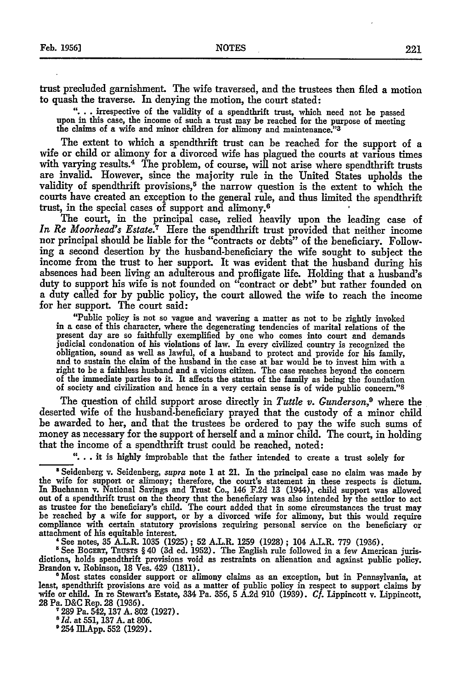trust precluded garnishment. The wife traversed, and the trustees then filed a motion to quash the traverse. In denying the motion, the court stated:

**"....** irrespective of the validity of a spendthrift trust, which need not be passed upon in this case, the income of such a trust may be reached for the purpose of meeting the claims of a wife and minor children for alimony and maintenance." <sup>3</sup>

The extent to which a spendthrift trust can be reached for the support of a wife or child or alimony for a divorced wife has plagued the courts at various times with varying results.<sup>4</sup> The problem, of course, will not arise where spendthrift trusts are invalid. However, since the majority rule in the United States upholds the validity of spendthrift provisions,<sup>5</sup> the narrow question is the extent to which the courts have created an exception to the general rule, and thus limited the spendthrift trust, in the special cases of support and alimony. <sup>6</sup>

The court, in the principal case, relied heavily upon the leading case of *In Re Moorhead's Estate.7* Here the spendthrift trust provided that neither income nor principal should be liable for the "contracts or debts" of the beneficiary. Following a second desertion by the husband-beneficiary the wife sought to subject the income from the trust to her support. It was evident that the husband during his absences had been living an adulterous and profligate life. Holding that a husband's duty to support his wife is not founded on "contract or debt" but rather founded on a duty called for by public policy, the court allowed the wife to reach the income for her support. The court said:

"Public policy is not so vague and wavering a matter as not to be rightly invoked in **a** case of this character, where the degenerating tendencies of marital relations of the present day are so faithfully exemplified by one who comes into court and demands judicial condonation of his violations of law. In every civilized country is recognized the obligation, sound as well as lawful, of a husband to protect and provide for his family, and to sustain the claim of the husband in the case at bar would be to invest him with a right to be a faithless husband and a viciou of society and civilization and hence in a very certain sense is of wide public concern."<sup>8</sup>

The question of child support arose directly in *Tuttle v. Gunderson,9* where the deserted wife of the husband-beneficiary prayed that the custody of a minor child be awarded to her, and that the trustees be ordered to pay the wife such sums of money as necessary for the support of herself and a minor child. The court, in holding that the income of a spendthrift trust could be reached, noted:

**"...** it is highly improbable that the father intended to create a trust solely for

<sup>8</sup> Seidenberg v. Seidenberg, *supra* note **1** at 21. In the principal case no claim was made by the wife for support or alimony; therefore, the court's statement in these respects is dictum. In Buchanan v. National Savings and Trust Co., 146 F.2d 13 (1944), child support was allowed out of a spendthrift trust on the theory that the beneficiary was also intended by the settlor to act<br>as trustee for the beneficiary's child. The court added that in some circumstances the trust may<br>be reached by a wife fo

attachment of his equitable interest.<br>
"See notes, 35 A.L.R. 1035 (1925); 52 A.L.R. 1259 (1928); 104 A.L.R. 779 (1936).<br>
"See BocERT, TRUSTS § 40 (3d ed. 1952). The English rule followed in a few American juris-<br>
dictions,

wife or child. In re Stewart's Estate, 334 Pa. 356, 5 A.2d 910 (1939). Cf. Lippincott v. Lippincott, 28 Pa. D&C Rep. 28 (1936).

7289 Pa. 542, 137 A. 802 (1927). *8 Id.* at 551, 137 A. at 806.

**9** 254 Ill.App. **552** (1929).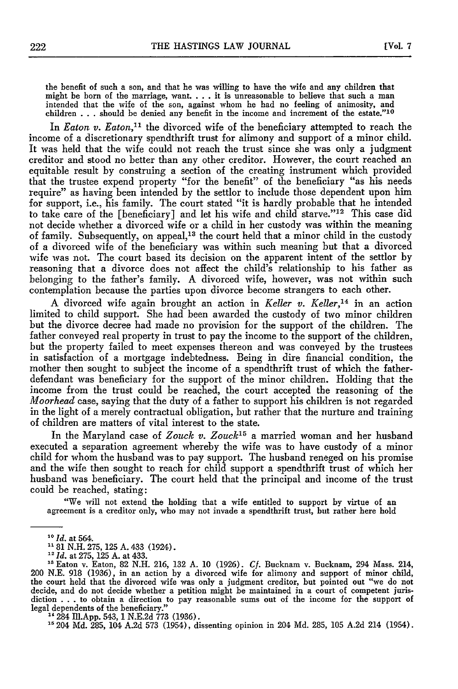the benefit of such a son, and that he was willing to have the wife and any children that might be born of the marriage, want. . . . it is unreasonable to believe that such a mar intended that the wife of the son, against whom he had no feeling of animosity, and children . . . should be denied any benefit in the income and increment of the estate."<sup>10</sup>

In *Eaton v. Eaton*,<sup>11</sup> the divorced wife of the beneficiary attempted to reach the income of a discretionary spendthrift trust for alimony and support of a minor child. It was held that the wife could not reach the trust since she was only a judgment creditor and stood no better than any other creditor. However, the court reached an equitable result by construing a section of the creating instrument which provided that the trustee expend property "for the benefit" of the beneficiary "as his needs require" as having been intended by the settlor to include those dependent upon him for support, i.e., his family. The court stated "it is hardly probable that he intended to take care of the [beneficiary] and let his wife and child starve."<sup>12</sup> This case did not decide whether a divorced wife or a child in her custody was within the meaning of family. Subsequently, on appeal,<sup>13</sup> the court held that a minor child in the custody of a divorced wife of the beneficiary was within such meaning but that a divorced wife was not. The court based its decision on the apparent intent of the settlor by reasoning that a divorce does not affect the child's relationship to his father as belonging to the father's family. A divorced wife, however, was not within such contemplation because the parties upon divorce become strangers to each other.

A divorced wife again brought an action in *Keller v. Keller,14* in an action limited to child support. She had been awarded the custody of two minor children but the divorce decree had made no provision for the support of the children. The father conveyed real property in trust to pay the income to the support of the children, but the property failed to meet expenses thereon and was conveyed by the trustees in satisfaction of a mortgage indebtedness. Being in dire financial condition, the mother then sought to subject the income of a spendthrift trust of which the fatherdefendant was beneficiary for the support of the minor children. Holding that the income from the trust could be reached, the court accepted the reasoning of the *Moorhead* case, saying that the duty of a father to support his children is not regarded in the light of a merely contractual obligation, but rather that the nurture and training of children are matters of vital interest to the state.

In the Maryland case of *Zouck v. Zouck'5* a married woman and her husband executed a separation agreement whereby the wife was to have custody of a minor child for whom the husband was to pay support. The husband reneged on his promise and the wife then sought to reach for child support a spendthrift trust of which her husband was beneficiary. The court held that the principal and income of the trust could be reached, stating:

"We will not extend the holding that a wife entitled to support by virtue of an agreement is a creditor only, who may not invade a spendthrift trust, but rather here hold

**<sup>5</sup>**204 Md. 285, 104 A.2d 573 (1954), dissenting opinion in 204 Md. 285, 105 A.2d 214 (1954).

*<sup>10</sup>Id.* at 564.

**<sup>181</sup>** N.H. 275, **125** A. 433 (1924).

<sup>12</sup>*Id.* at 275, **125** A. at 433.

<sup>&</sup>lt;sup>13</sup> Eaton v. Eaton, 82 N.H. 216, 132 A. 10 (1926).  $C_f$ . Bucknam v. Bucknam, 294 Mass. 214, 200 N.E. 918 (1936), in an action by a divorced wife for alimony and support of minor child, the court held that the divorced wi decide, and do not decide whether a petition might be maintained in a court of competent jurisdiction ...to obtain a direction to pay reasonable sums out of the income for the support of legal dependents of the beneficiary." **"** 284 Ill.App. 543, **1** N.E.2d 773 (1936).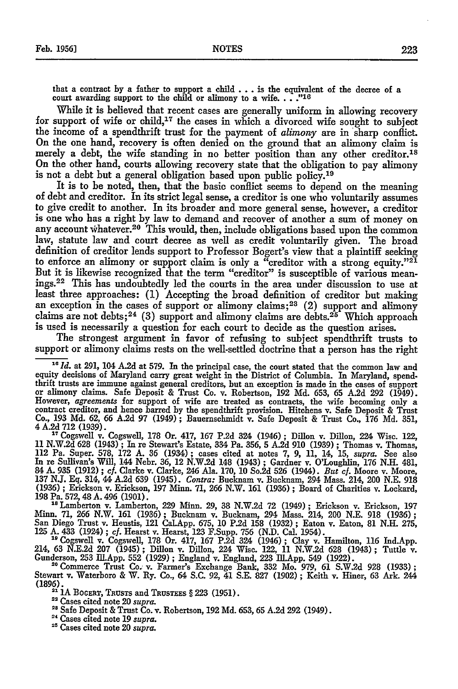that a contract **by** a father to support a child **...**is the equivalent of the decree of a court awarding support to the child or alimony to a wife....<sup>"16</sup>

While it is believed that recent cases are generally uniform in allowing recovery for support of wife or child,17 the cases in which a divorced wife sought to subject the income of a spendthrift trust for the payment of *alimony* are in sharp conflict. On the one hand, recovery is often denied on the ground that an alimony claim is merely a debt, the wife standing in no better position than any other creditor.<sup>18</sup> On the other hand, courts allowing recovery state that the obligation to pay alimony is not a debt but a general obligation based upon public policy.<sup>19</sup>

It is to be noted, then, that the basic conflict seems to depend on the meaning of debt and creditor. In its strict legal sense, a creditor is one who voluntarily assumes to give credit to another. In its broader and more general sense, however, a creditor is one who has a right by law to demand and recover of another a sum of money on any account whatever.<sup>20</sup> This would, then, include obligations based upon the common law, statute law and court decree as well as credit voluntarily given. The broad definition of creditor lends support to Professor Bogert's view that a plaintiff seeking to enforce an alimony or support claim is only a "creditor with a strong equity." $21$ But it is likewise recognized that the term "creditor" is susceptible of various meanings. 22 This has undoubtedly led the courts in the area under discussion to use at least three approaches: **(1)** Accepting the broad definition of creditor but making an exception in the cases of support or alimony claims;<sup>23</sup> (2) support and alimony claims are not debts;<sup>24</sup> (3) support and alimony claims are debts.<sup>25</sup> Which approach is used is necessarily a question for each court to decide as the question arises.

The strongest argument in favor of refusing to subject spendthrift trusts to support or alimony claims rests on the well-settled doctrine that a person has the right

<sup>16</sup> Id. at 291, 104 A.2d at 579. In the principal case, the court stated that the common law and equity decisions of Maryland carry great weight in the District of Columbia. In Maryland, spend-<br>thrift trusts are immune against general creditors, but an exception is made in the cases of support<br>or alimony claims. Safe Co., **193** Md. **62, 66** A.2d **97** (1949) ; Baueruschmidt v. Safe Deposit & Trust Co., **176** Md. 351, <sup>4</sup>A.2d **712** (1939). T Cogswell v. Cogswell, **178** Or. 417, **167** P.2d 324 (1946); Dillon v. Dillon, 224 Wisc. 122,

11 N.W.2d 628 (1943); In re Stewart's Estate, 334 Pa. 356, 5 A.2d 910 (1939); Thomas v. Thomas, 112 Pa. Super. 578, 172 A. 36 (1934); cases cited at notes 7, 9, 11, 14, 15, *supra*. See also In re Sullivan's Will, 144 Nebr. **36,** 12 N.W.2d 148 (1943) ; Gardner v. O'Loughlin, **176** N.H. 481, 84 A. 935 (1912); cf. Clarke v. Clarke, 246 Ala. 170, 10 So.2d 526 (1944). But cf. Moore v. Moore.<br>137 N.J. Eq. 314, 44 A.2d 639 (1945). Contra: Bucknam v. Bucknam, 294 Mass. 214, 200 N.E. 918 (1936) **;** Erickson v. Erickson, 197 Minn. **71, 266** N.W. **161 (1936) ;** Board of Charities v. Lockard, (1936); Erickson v. Erickson, 197 Minn. 71, 266 N.W. 161 (1936); Board of Charities v. Lockard, 198 Pa. 572, 48 A. 496 (1901).

<sup>18</sup> Lamberton v. Lamberton, 229 Minn. 29, 38 N.W.2d 72 (1949); Erickson v. Erickson, 197<br>Minn. 71, 266 N.W. 161 (1936); Bucknam v. Bucknam, 294 Mass. 214, 200 N.E. 918 (1936);<br>San Diego Trust v. Heustis, 121 Cal.App. 675,

125 A. 433 (1924); cf. Hearst v. Hearst, 123 F.Supp. 756 (N.D. Cal. 1954).<br><sup>19</sup> Cogswell v. Cogswell, 178 Or. 417, 167 P.2d 324 (1946); Clay v. Hamilton, 116 Ind.App<br>214, 63 N.E.2d 207 (1945); Dillon v. Dillon, 224 Wisc. 1

**'0** Commerce Trust Co. v. Farmer's Exchange Bank, 332 Mo. 979, **61** S.W.2d 928 (1933); Stewart v. Waterboro & W. Ry. Co., 64 S.C. 92, 41 S.E. 827 (1902) **;** Keith v. Hiner, **63** Ark. 244 (1896). **l1A BOGaRT, TRUSTS** and **TRUSTEES** § 223 **(1951).** -Cases cited note 20 *supra.*

22 Cases cited note 20 *supra*.<br><sup>23</sup> Safe Deposit & Trust Co. v. Robertson, 192 Md. 653, 65 A.2d 292 (1949).

"Cases cited note **19** *supra.* "Cases cited note 20 *supra.*